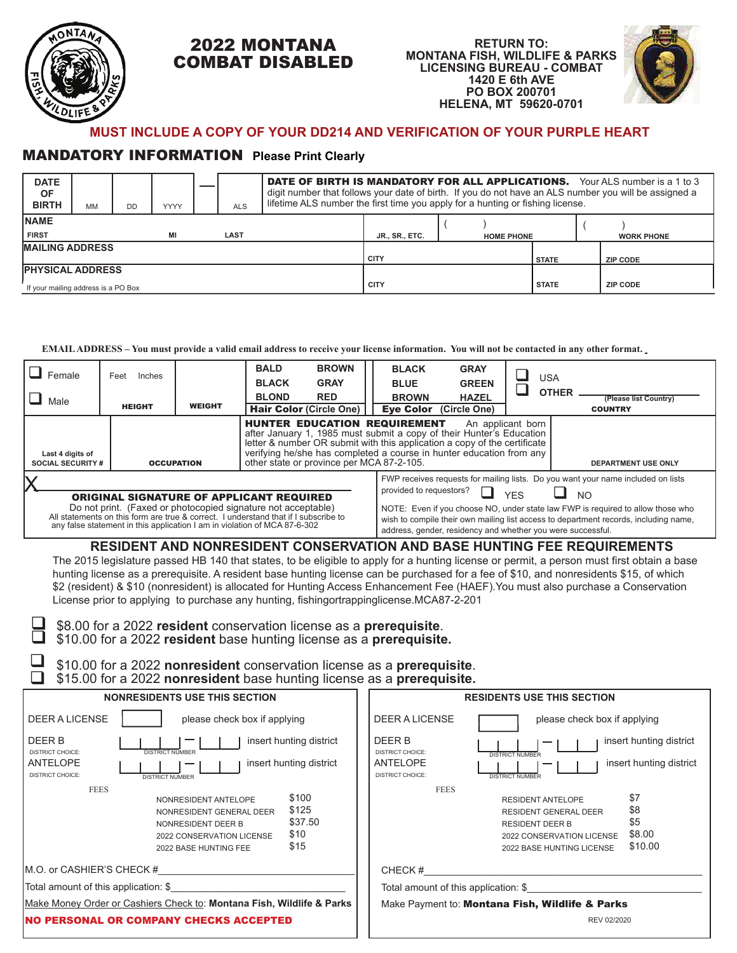

 $\Box$ 

## 2022 MONTANA COMBAT DISABLED





## **MUST INCLUDE A COPY OF YOUR DD214 AND VERIFICATION OF YOUR PURPLE HEART**

## MANDATORY INFORMATION **Please Print Clearly**

| <b>DATE</b><br><b>OF</b><br><b>BIRTH</b> | <b>MM</b> | <b>DD</b> | <b>YYYY</b> |  | <b>ALS</b>  | <b>DATE OF BIRTH IS MANDATORY FOR ALL APPLICATIONS.</b> Your ALS number is a 1 to 3<br>digit number that follows your date of birth. If you do not have an ALS number you will be assigned a<br>lifetime ALS number the first time you apply for a hunting or fishing license. |                       |              |                   |  |                   |
|------------------------------------------|-----------|-----------|-------------|--|-------------|--------------------------------------------------------------------------------------------------------------------------------------------------------------------------------------------------------------------------------------------------------------------------------|-----------------------|--------------|-------------------|--|-------------------|
| <b>INAME</b>                             |           |           |             |  |             |                                                                                                                                                                                                                                                                                |                       |              |                   |  |                   |
| <b>FIRST</b>                             |           |           | ΜI          |  | LAST        |                                                                                                                                                                                                                                                                                | <b>JR., SR., ETC.</b> |              | <b>HOME PHONE</b> |  | <b>WORK PHONE</b> |
| <b>MAILING ADDRESS</b>                   |           |           |             |  | <b>CITY</b> |                                                                                                                                                                                                                                                                                |                       | <b>STATE</b> | <b>ZIP CODE</b>   |  |                   |
| <b>PHYSICAL ADDRESS</b>                  |           |           |             |  |             |                                                                                                                                                                                                                                                                                |                       |              |                   |  |                   |
| If your mailing address is a PO Box      |           |           |             |  | <b>CITY</b> |                                                                                                                                                                                                                                                                                |                       | <b>STATE</b> | <b>ZIP CODE</b>   |  |                   |

## **EMAIL ADDRESS – You must provide a valid email address to receive your license information. You will not be contacted in any other format.**

| Female<br>Male                                                                                                                                                   | Inches<br>Feet<br><b>HEIGHT</b>                                                                                                                                                                | <b>WEIGHT</b>                                                                                                                                                                                                                                                                                                                                                             | <b>BALD</b><br><b>BLACK</b><br><b>BLOND</b>                                                                                                                                                                                                                                                                                        | <b>BROWN</b><br><b>GRAY</b><br><b>RED</b><br><b>Hair Color (Circle One)</b> | <b>BLACK</b><br><b>BLUE</b><br><b>BROWN</b><br><b>Eve Color</b> | <b>GRAY</b><br><b>GREEN</b><br><b>HAZEL</b><br>(Circle One) |  | USA<br><b>OTHER</b>        | (Please list Country)<br><b>COUNTRY</b> |
|------------------------------------------------------------------------------------------------------------------------------------------------------------------|------------------------------------------------------------------------------------------------------------------------------------------------------------------------------------------------|---------------------------------------------------------------------------------------------------------------------------------------------------------------------------------------------------------------------------------------------------------------------------------------------------------------------------------------------------------------------------|------------------------------------------------------------------------------------------------------------------------------------------------------------------------------------------------------------------------------------------------------------------------------------------------------------------------------------|-----------------------------------------------------------------------------|-----------------------------------------------------------------|-------------------------------------------------------------|--|----------------------------|-----------------------------------------|
| Last 4 digits of                                                                                                                                                 | <b>SOCIAL SECURITY #</b><br><b>OCCUPATION</b>                                                                                                                                                  |                                                                                                                                                                                                                                                                                                                                                                           | <b>HUNTER EDUCATION REQUIREMENT</b><br>An applicant born<br>after January 1, 1985 must submit a copy of their Hunter's Education<br>letter & number OR submit with this application a copy of the certificate<br>verifying he/she has completed a course in hunter education from any<br>other state or province per MCA 87-2-105. |                                                                             |                                                                 |                                                             |  | <b>DEPARTMENT USE ONLY</b> |                                         |
| All statements on this form are true & correct. I understand that if I subscribe to<br>any false statement in this application I am in violation of MCA 87-6-302 | <b>ORIGINAL SIGNATURE OF APPLICANT REQUIRED</b><br>Do not print. (Faxed or photocopied signature not acceptable)<br>DECINENT ANN NONDECINENT CONCEDVATION ANN RACE UIINTING EEE DEOI IIDEMENTC | FWP receives requests for mailing lists. Do you want your name included on lists<br>provided to requestors?<br><b>YFS</b><br>NO<br>NOTE: Even if you choose NO, under state law FWP is required to allow those who<br>wish to compile their own mailing list access to department records, including name,<br>address, gender, residency and whether you were successful. |                                                                                                                                                                                                                                                                                                                                    |                                                                             |                                                                 |                                                             |  |                            |                                         |

**RESIDENT AND NONRESIDENT CONSERVATION AND BASE HUNTING FEE REQUIREMENTS** The 2015 legislature passed HB 140 that states, to be eligible to apply for a hunting license or permit, a person must first obtain a base hunting license as a prerequisite. A resident base hunting license can be purchased for a fee of \$10, and nonresidents \$15, of which \$2 (resident) & \$10 (nonresident) is allocated for Hunting Access Enhancement Fee (HAEF).You must also purchase a Conservation License prior to applying to purchase any hunting, fishing ortrapping license. MCA 87-2-201

 \$10.00 for a 2022 **resident** base hunting license as a **prerequisite.**  \$8.00 for a 2022 **resident** conservation license as a **prerequisite**.  $\Box$ 

\$10.00 for a 2022 **nonresident** conservation license as a **prerequisite**. \$15.00 for a 2022 **nonresident** base hunting license as a **prerequisite.**  $\Box$ 

| <b>NONRESIDENTS USE THIS SECTION</b>                                                                                                                                                     | <b>RESIDENTS USE THIS SECTION</b>                                                                                                                                                              |  |  |  |  |
|------------------------------------------------------------------------------------------------------------------------------------------------------------------------------------------|------------------------------------------------------------------------------------------------------------------------------------------------------------------------------------------------|--|--|--|--|
| <b>DEER A LICENSE</b><br>please check box if applying                                                                                                                                    | <b>DEER A LICENSE</b><br>please check box if applying                                                                                                                                          |  |  |  |  |
| DEER B<br>insert hunting district<br>DISTRICT CHOICE:<br><b>DISTRICT NUMBER</b><br>ANTELOPE<br>insert hunting district<br><b>DISTRICT CHOICE:</b><br><b>DISTRICT NUMBER</b>              | DEER B<br>insert hunting district<br>DISTRICT CHOICE:<br><b>DISTRICT NUMBER</b><br>ANTELOPE<br>insert hunting district<br><b>DISTRICT CHOICE:</b><br><b>DISTRICT NUMBER</b>                    |  |  |  |  |
| <b>FEES</b><br>\$100<br>NONRESIDENT ANTELOPE<br>\$125<br>NONRESIDENT GENERAL DEER<br>\$37.50<br>NONRESIDENT DEER B<br>\$10<br>2022 CONSERVATION LICENSE<br>\$15<br>2022 BASE HUNTING FEE | <b>FEES</b><br>\$7<br>RESIDENT ANTELOPE<br>\$8<br><b>RESIDENT GENERAL DEER</b><br>\$5<br><b>RESIDENT DEER B</b><br>\$8.00<br>2022 CONSERVATION LICENSE<br>\$10.00<br>2022 BASE HUNTING LICENSE |  |  |  |  |
| M.O. or CASHIER'S CHECK #                                                                                                                                                                | CHECK#                                                                                                                                                                                         |  |  |  |  |
| Total amount of this application: \$                                                                                                                                                     | Total amount of this application: \$                                                                                                                                                           |  |  |  |  |
| Make Money Order or Cashiers Check to: Montana Fish, Wildlife & Parks                                                                                                                    | Make Payment to: Montana Fish, Wildlife & Parks                                                                                                                                                |  |  |  |  |
| <b>INO PERSONAL OR COMPANY CHECKS ACCEPTED</b>                                                                                                                                           | REV 02/2020                                                                                                                                                                                    |  |  |  |  |